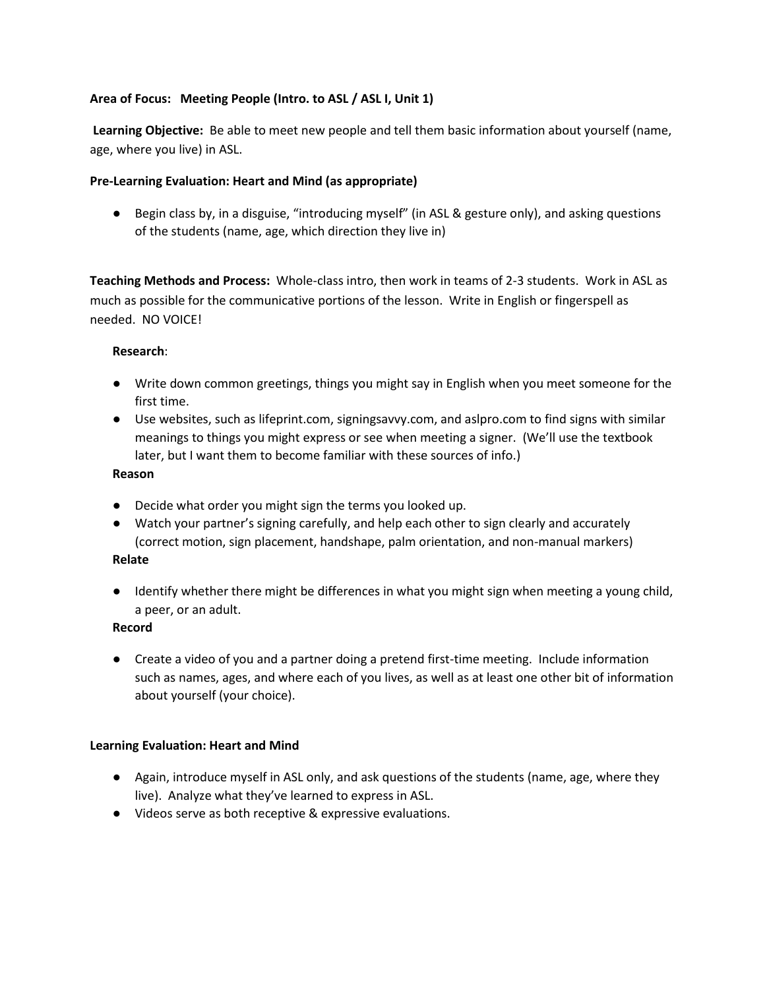# **Area of Focus: Meeting People (Intro. to ASL / ASL I, Unit 1)**

**Learning Objective:** Be able to meet new people and tell them basic information about yourself (name, age, where you live) in ASL.

# **Pre-Learning Evaluation: Heart and Mind (as appropriate)**

● Begin class by, in a disguise, "introducing myself" (in ASL & gesture only), and asking questions of the students (name, age, which direction they live in)

**Teaching Methods and Process:** Whole-class intro, then work in teams of 2-3 students. Work in ASL as much as possible for the communicative portions of the lesson. Write in English or fingerspell as needed. NO VOICE!

## **Research**:

- Write down common greetings, things you might say in English when you meet someone for the first time.
- Use websites, such as lifeprint.com, signingsavvy.com, and aslpro.com to find signs with similar meanings to things you might express or see when meeting a signer. (We'll use the textbook later, but I want them to become familiar with these sources of info.)

### **Reason**

- Decide what order you might sign the terms you looked up.
- Watch your partner's signing carefully, and help each other to sign clearly and accurately (correct motion, sign placement, handshape, palm orientation, and non-manual markers)

# **Relate**

● Identify whether there might be differences in what you might sign when meeting a young child, a peer, or an adult.

## **Record**

● Create a video of you and a partner doing a pretend first-time meeting. Include information such as names, ages, and where each of you lives, as well as at least one other bit of information about yourself (your choice).

## **Learning Evaluation: Heart and Mind**

- Again, introduce myself in ASL only, and ask questions of the students (name, age, where they live). Analyze what they've learned to express in ASL.
- Videos serve as both receptive & expressive evaluations.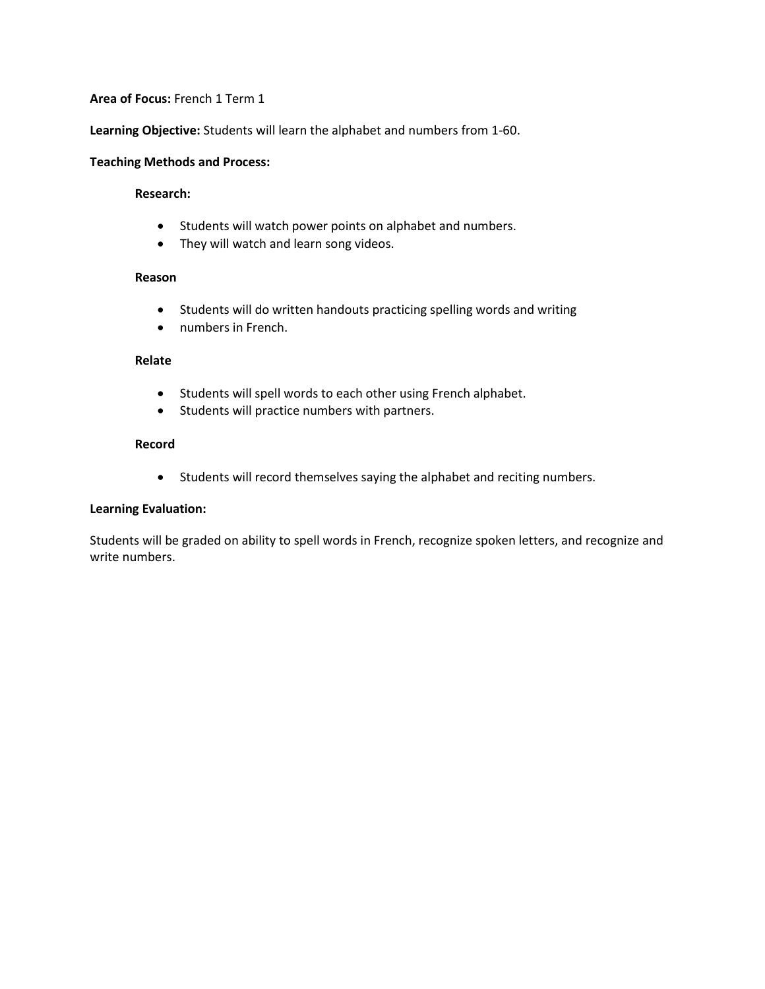**Learning Objective:** Students will learn the alphabet and numbers from 1-60.

#### **Teaching Methods and Process:**

#### **Research:**

- Students will watch power points on alphabet and numbers.
- They will watch and learn song videos.

#### **Reason**

- Students will do written handouts practicing spelling words and writing
- numbers in French.

## **Relate**

- Students will spell words to each other using French alphabet.
- Students will practice numbers with partners.

#### **Record**

• Students will record themselves saying the alphabet and reciting numbers.

## **Learning Evaluation:**

Students will be graded on ability to spell words in French, recognize spoken letters, and recognize and write numbers.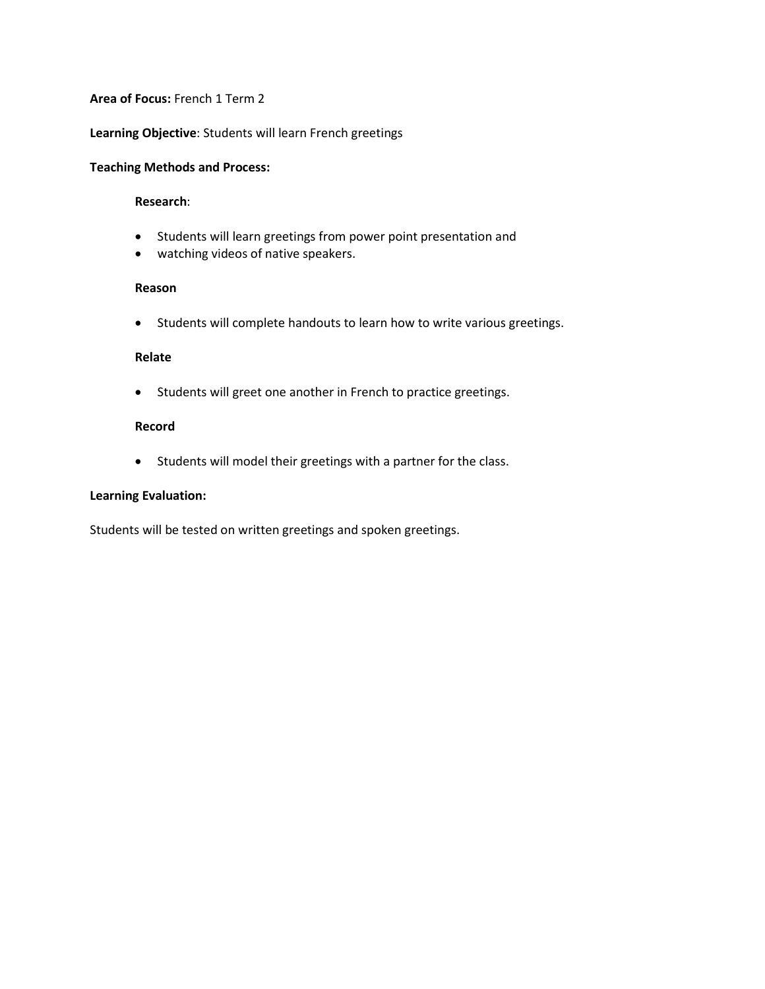### **Learning Objective**: Students will learn French greetings

### **Teaching Methods and Process:**

#### **Research**:

- Students will learn greetings from power point presentation and
- watching videos of native speakers.

### **Reason**

• Students will complete handouts to learn how to write various greetings.

#### **Relate**

• Students will greet one another in French to practice greetings.

#### **Record**

• Students will model their greetings with a partner for the class.

### **Learning Evaluation:**

Students will be tested on written greetings and spoken greetings.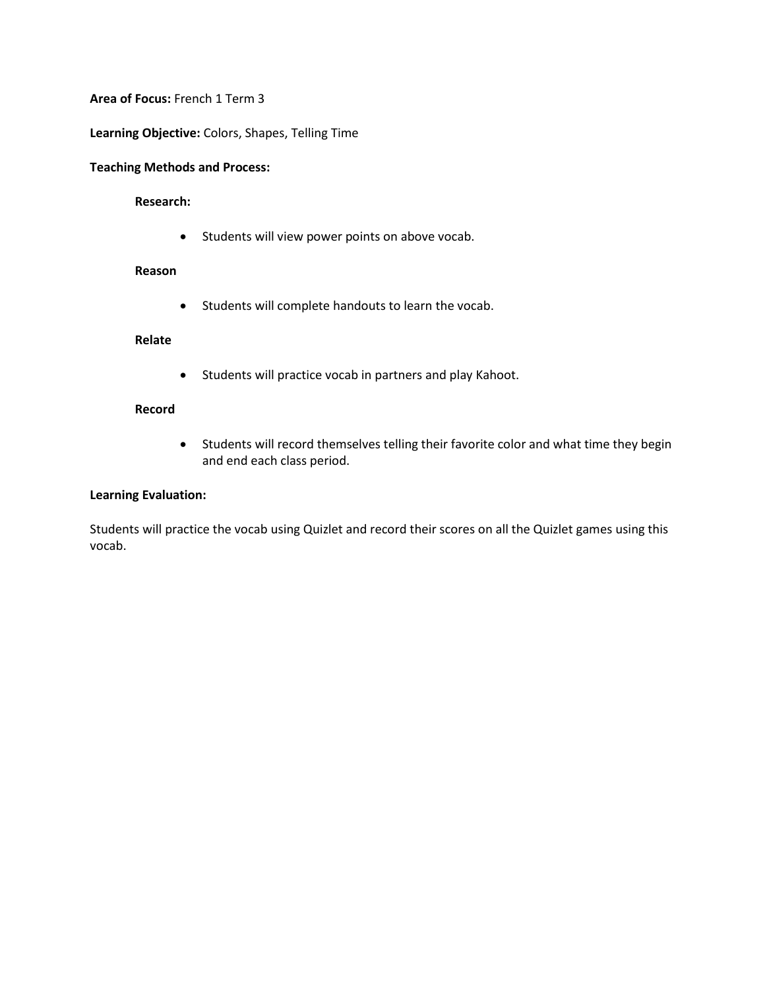**Learning Objective:** Colors, Shapes, Telling Time

### **Teaching Methods and Process:**

#### **Research:**

• Students will view power points on above vocab.

#### **Reason**

• Students will complete handouts to learn the vocab.

## **Relate**

• Students will practice vocab in partners and play Kahoot.

## **Record**

• Students will record themselves telling their favorite color and what time they begin and end each class period.

# **Learning Evaluation:**

Students will practice the vocab using Quizlet and record their scores on all the Quizlet games using this vocab.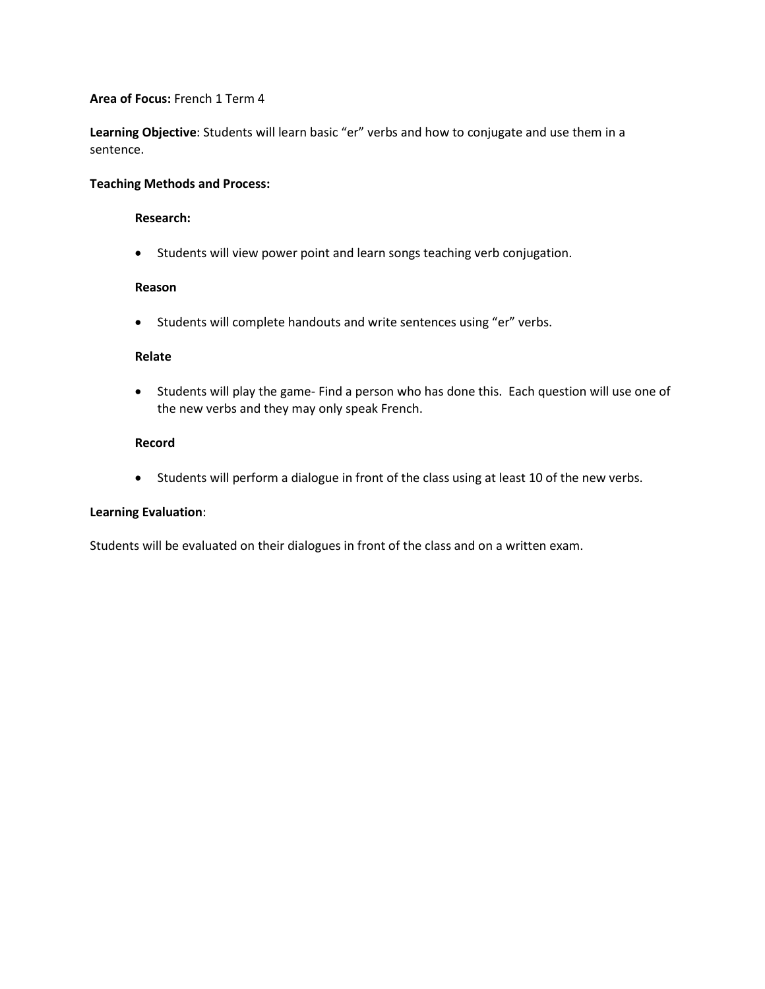**Learning Objective**: Students will learn basic "er" verbs and how to conjugate and use them in a sentence.

## **Teaching Methods and Process:**

#### **Research:**

• Students will view power point and learn songs teaching verb conjugation.

### **Reason**

• Students will complete handouts and write sentences using "er" verbs.

### **Relate**

• Students will play the game- Find a person who has done this. Each question will use one of the new verbs and they may only speak French.

### **Record**

• Students will perform a dialogue in front of the class using at least 10 of the new verbs.

## **Learning Evaluation**:

Students will be evaluated on their dialogues in front of the class and on a written exam.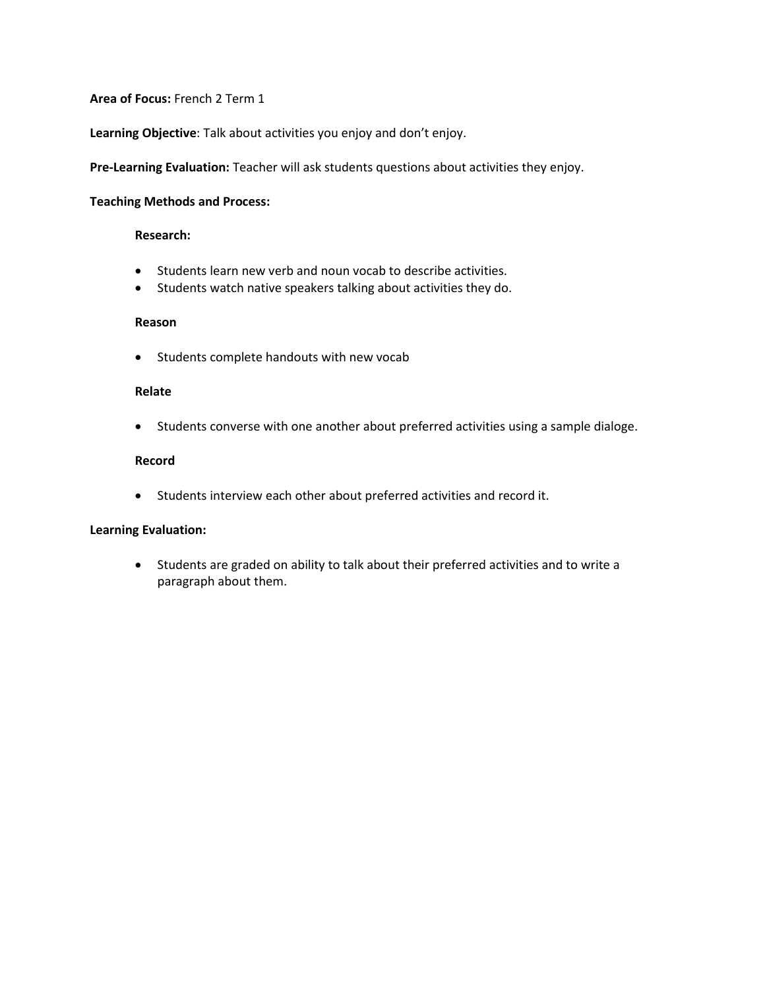**Learning Objective**: Talk about activities you enjoy and don't enjoy.

**Pre-Learning Evaluation:** Teacher will ask students questions about activities they enjoy.

#### **Teaching Methods and Process:**

#### **Research:**

- Students learn new verb and noun vocab to describe activities.
- Students watch native speakers talking about activities they do.

#### **Reason**

• Students complete handouts with new vocab

### **Relate**

• Students converse with one another about preferred activities using a sample dialoge.

## **Record**

• Students interview each other about preferred activities and record it.

#### **Learning Evaluation:**

• Students are graded on ability to talk about their preferred activities and to write a paragraph about them.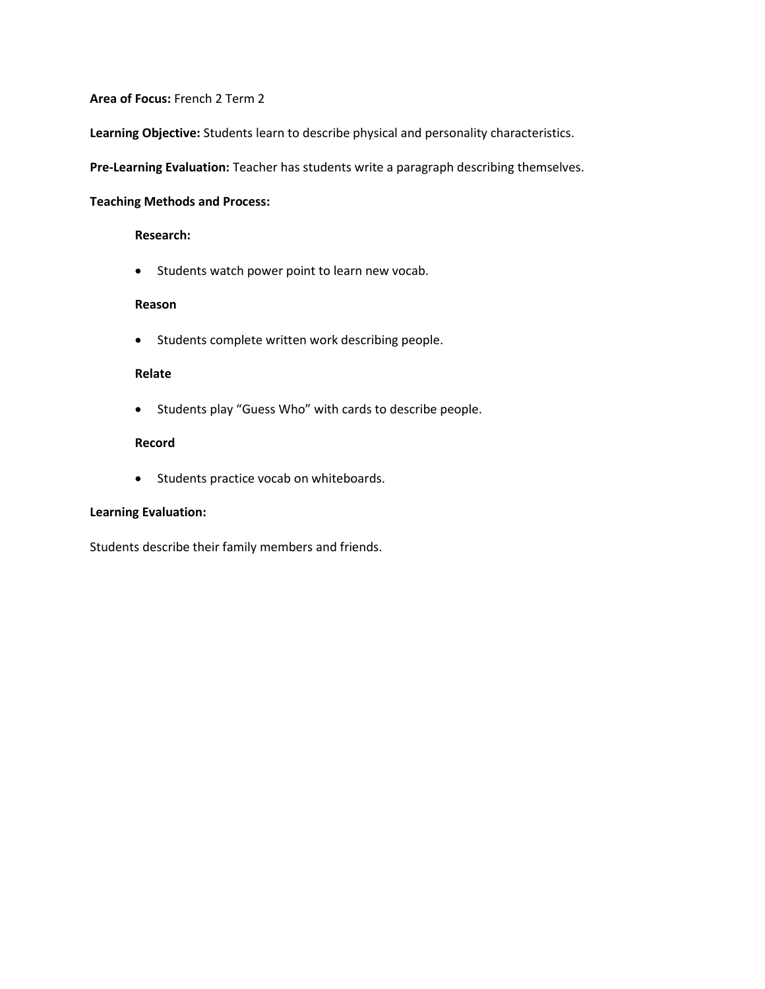**Learning Objective:** Students learn to describe physical and personality characteristics.

**Pre-Learning Evaluation:** Teacher has students write a paragraph describing themselves.

### **Teaching Methods and Process:**

#### **Research:**

• Students watch power point to learn new vocab.

### **Reason**

• Students complete written work describing people.

## **Relate**

• Students play "Guess Who" with cards to describe people.

### **Record**

• Students practice vocab on whiteboards.

## **Learning Evaluation:**

Students describe their family members and friends.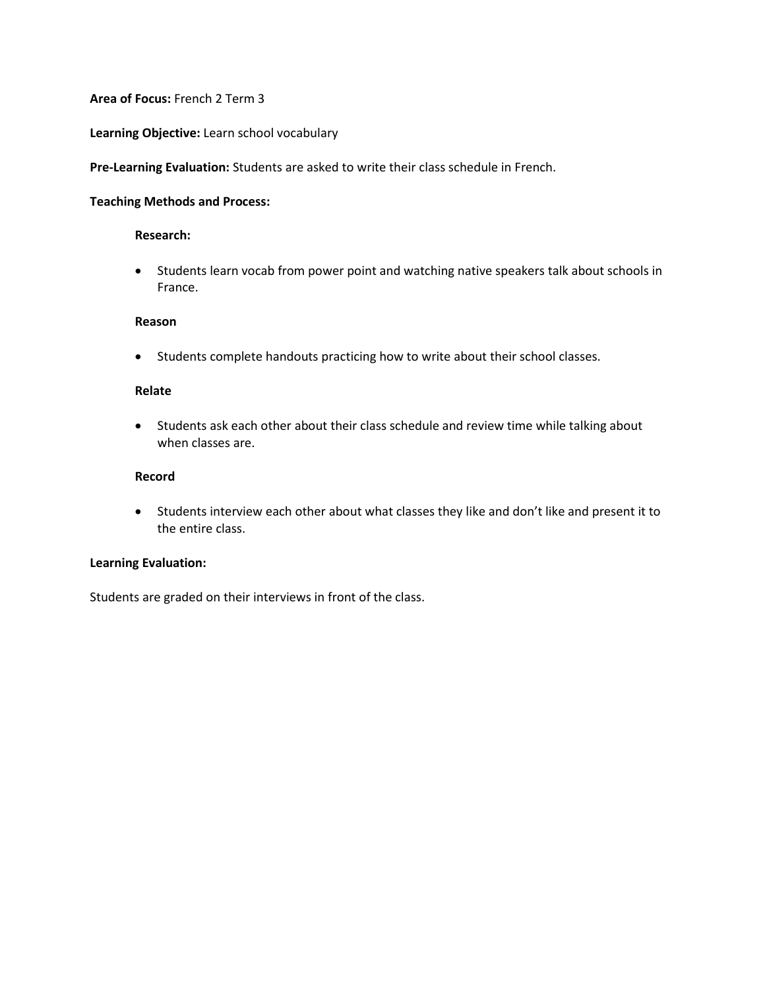#### **Learning Objective:** Learn school vocabulary

**Pre-Learning Evaluation:** Students are asked to write their class schedule in French.

#### **Teaching Methods and Process:**

#### **Research:**

• Students learn vocab from power point and watching native speakers talk about schools in France.

#### **Reason**

• Students complete handouts practicing how to write about their school classes.

### **Relate**

• Students ask each other about their class schedule and review time while talking about when classes are.

## **Record**

• Students interview each other about what classes they like and don't like and present it to the entire class.

### **Learning Evaluation:**

Students are graded on their interviews in front of the class.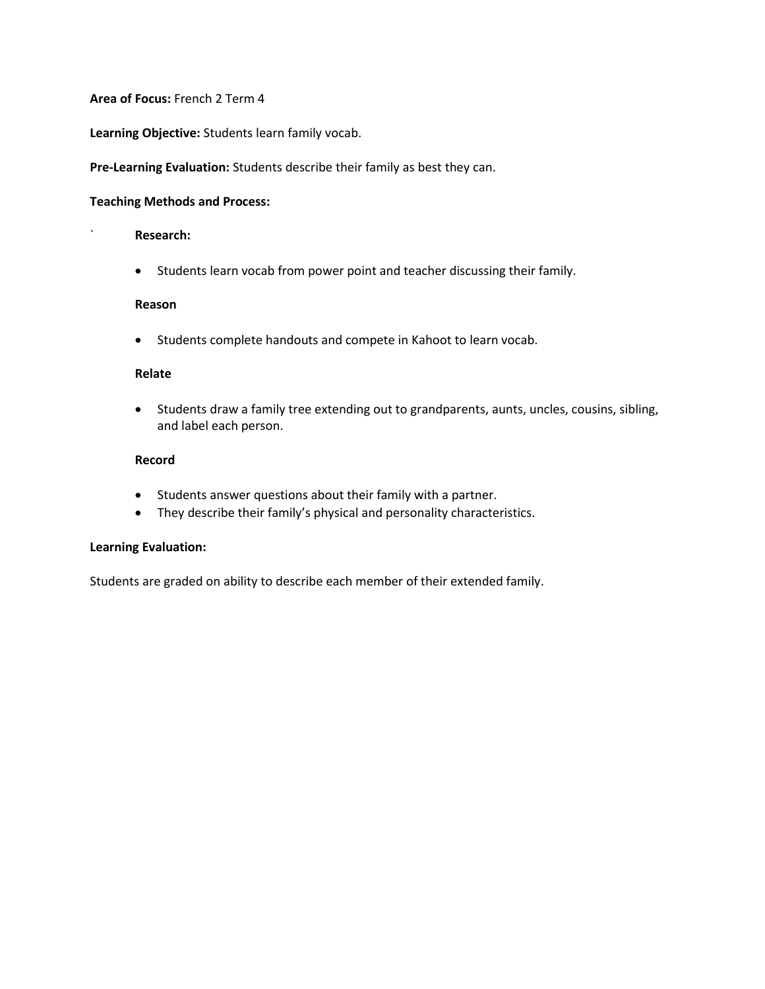**Learning Objective:** Students learn family vocab.

## **Pre-Learning Evaluation:** Students describe their family as best they can.

#### **Teaching Methods and Process:**

#### ` **Research:**

• Students learn vocab from power point and teacher discussing their family.

#### **Reason**

• Students complete handouts and compete in Kahoot to learn vocab.

## **Relate**

• Students draw a family tree extending out to grandparents, aunts, uncles, cousins, sibling, and label each person.

### **Record**

- Students answer questions about their family with a partner.
- They describe their family's physical and personality characteristics.

#### **Learning Evaluation:**

Students are graded on ability to describe each member of their extended family.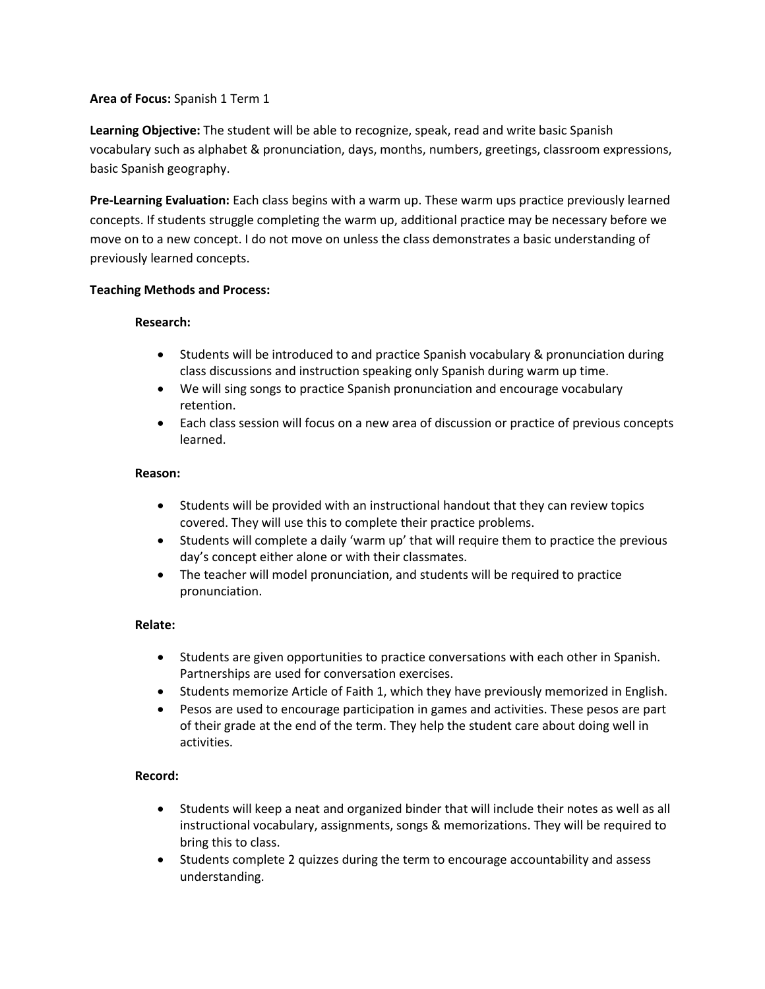**Learning Objective:** The student will be able to recognize, speak, read and write basic Spanish vocabulary such as alphabet & pronunciation, days, months, numbers, greetings, classroom expressions, basic Spanish geography.

**Pre-Learning Evaluation:** Each class begins with a warm up. These warm ups practice previously learned concepts. If students struggle completing the warm up, additional practice may be necessary before we move on to a new concept. I do not move on unless the class demonstrates a basic understanding of previously learned concepts.

## **Teaching Methods and Process:**

### **Research:**

- Students will be introduced to and practice Spanish vocabulary & pronunciation during class discussions and instruction speaking only Spanish during warm up time.
- We will sing songs to practice Spanish pronunciation and encourage vocabulary retention.
- Each class session will focus on a new area of discussion or practice of previous concepts learned.

### **Reason:**

- Students will be provided with an instructional handout that they can review topics covered. They will use this to complete their practice problems.
- Students will complete a daily 'warm up' that will require them to practice the previous day's concept either alone or with their classmates.
- The teacher will model pronunciation, and students will be required to practice pronunciation.

## **Relate:**

- Students are given opportunities to practice conversations with each other in Spanish. Partnerships are used for conversation exercises.
- Students memorize Article of Faith 1, which they have previously memorized in English.
- Pesos are used to encourage participation in games and activities. These pesos are part of their grade at the end of the term. They help the student care about doing well in activities.

## **Record:**

- Students will keep a neat and organized binder that will include their notes as well as all instructional vocabulary, assignments, songs & memorizations. They will be required to bring this to class.
- Students complete 2 quizzes during the term to encourage accountability and assess understanding.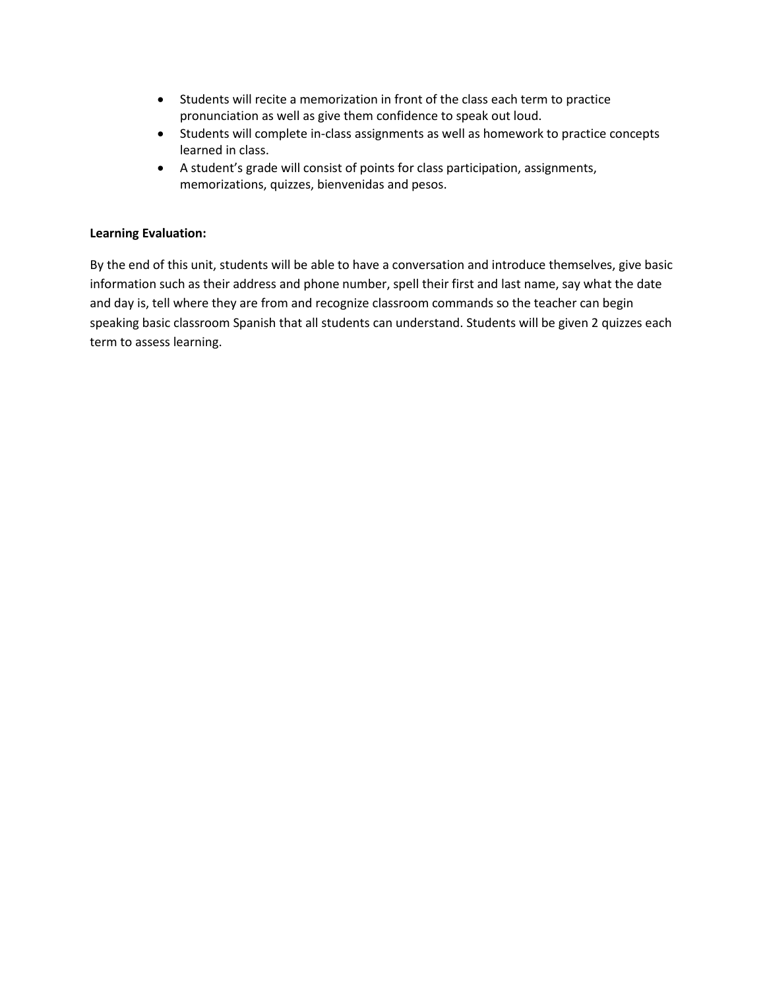- Students will recite a memorization in front of the class each term to practice pronunciation as well as give them confidence to speak out loud.
- Students will complete in-class assignments as well as homework to practice concepts learned in class.
- A student's grade will consist of points for class participation, assignments, memorizations, quizzes, bienvenidas and pesos.

# **Learning Evaluation:**

By the end of this unit, students will be able to have a conversation and introduce themselves, give basic information such as their address and phone number, spell their first and last name, say what the date and day is, tell where they are from and recognize classroom commands so the teacher can begin speaking basic classroom Spanish that all students can understand. Students will be given 2 quizzes each term to assess learning.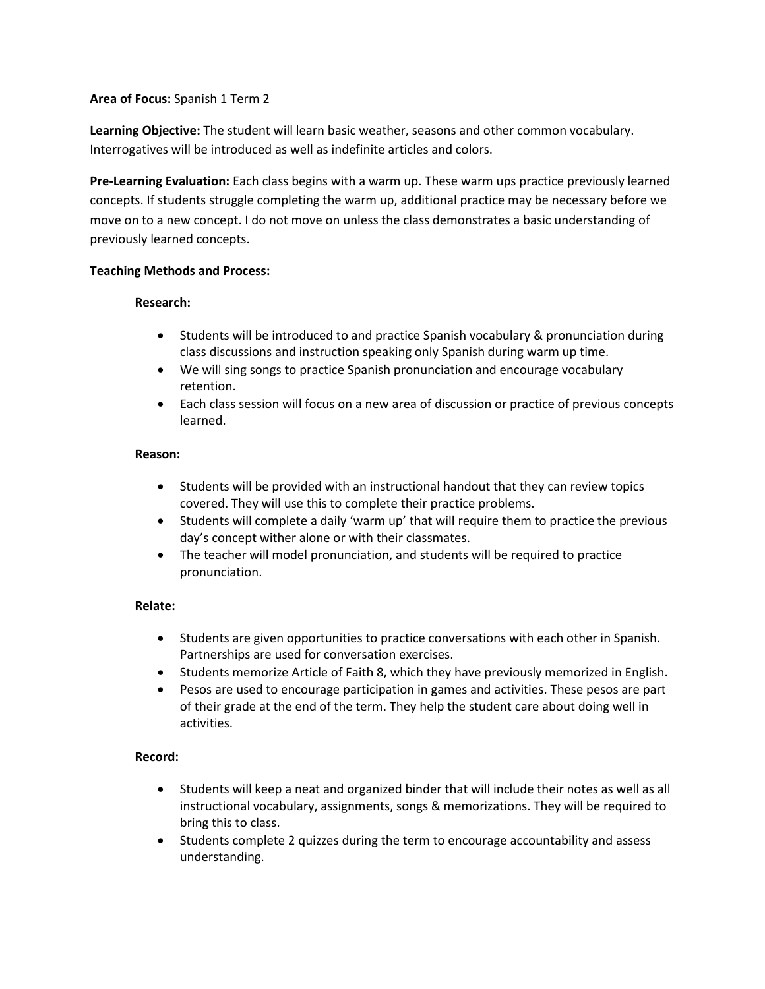**Learning Objective:** The student will learn basic weather, seasons and other common vocabulary. Interrogatives will be introduced as well as indefinite articles and colors.

**Pre-Learning Evaluation:** Each class begins with a warm up. These warm ups practice previously learned concepts. If students struggle completing the warm up, additional practice may be necessary before we move on to a new concept. I do not move on unless the class demonstrates a basic understanding of previously learned concepts.

# **Teaching Methods and Process:**

## **Research:**

- Students will be introduced to and practice Spanish vocabulary & pronunciation during class discussions and instruction speaking only Spanish during warm up time.
- We will sing songs to practice Spanish pronunciation and encourage vocabulary retention.
- Each class session will focus on a new area of discussion or practice of previous concepts learned.

## **Reason:**

- Students will be provided with an instructional handout that they can review topics covered. They will use this to complete their practice problems.
- Students will complete a daily 'warm up' that will require them to practice the previous day's concept wither alone or with their classmates.
- The teacher will model pronunciation, and students will be required to practice pronunciation.

## **Relate:**

- Students are given opportunities to practice conversations with each other in Spanish. Partnerships are used for conversation exercises.
- Students memorize Article of Faith 8, which they have previously memorized in English.
- Pesos are used to encourage participation in games and activities. These pesos are part of their grade at the end of the term. They help the student care about doing well in activities.

# **Record:**

- Students will keep a neat and organized binder that will include their notes as well as all instructional vocabulary, assignments, songs & memorizations. They will be required to bring this to class.
- Students complete 2 quizzes during the term to encourage accountability and assess understanding.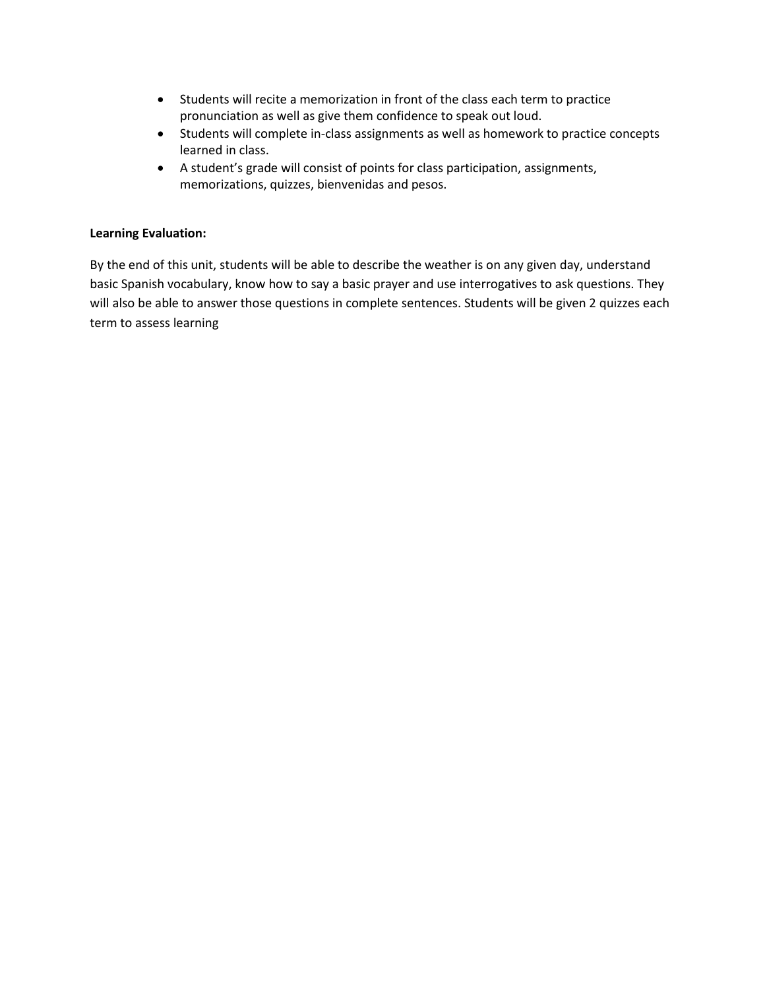- Students will recite a memorization in front of the class each term to practice pronunciation as well as give them confidence to speak out loud.
- Students will complete in-class assignments as well as homework to practice concepts learned in class.
- A student's grade will consist of points for class participation, assignments, memorizations, quizzes, bienvenidas and pesos.

# **Learning Evaluation:**

By the end of this unit, students will be able to describe the weather is on any given day, understand basic Spanish vocabulary, know how to say a basic prayer and use interrogatives to ask questions. They will also be able to answer those questions in complete sentences. Students will be given 2 quizzes each term to assess learning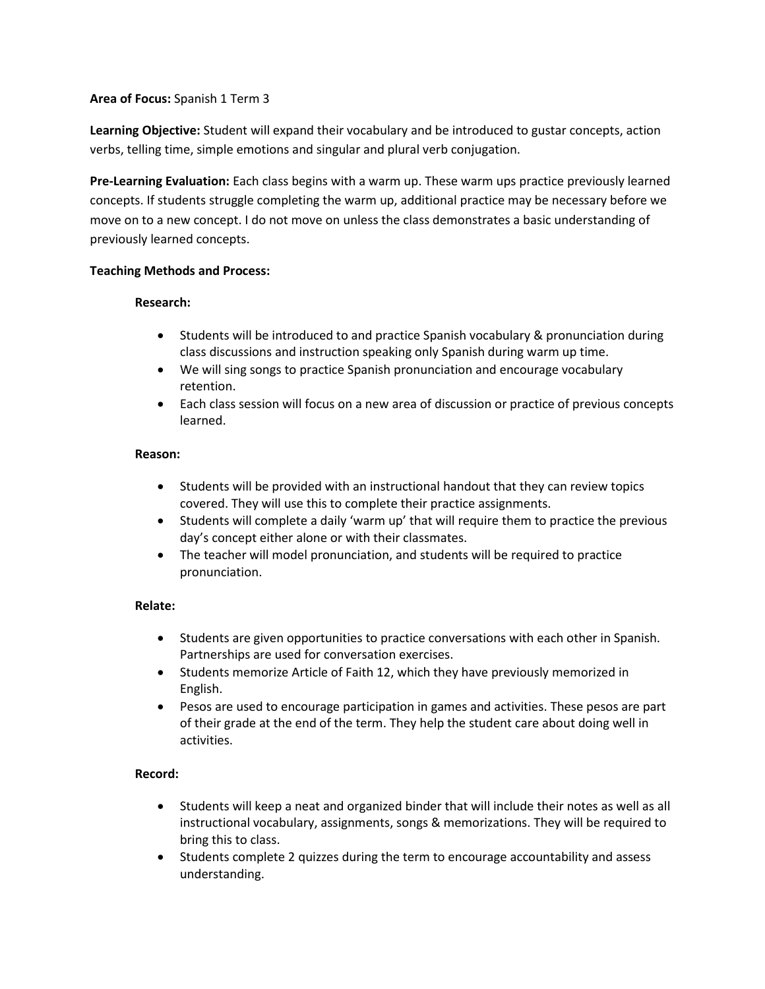**Learning Objective:** Student will expand their vocabulary and be introduced to gustar concepts, action verbs, telling time, simple emotions and singular and plural verb conjugation.

**Pre-Learning Evaluation:** Each class begins with a warm up. These warm ups practice previously learned concepts. If students struggle completing the warm up, additional practice may be necessary before we move on to a new concept. I do not move on unless the class demonstrates a basic understanding of previously learned concepts.

# **Teaching Methods and Process:**

## **Research:**

- Students will be introduced to and practice Spanish vocabulary & pronunciation during class discussions and instruction speaking only Spanish during warm up time.
- We will sing songs to practice Spanish pronunciation and encourage vocabulary retention.
- Each class session will focus on a new area of discussion or practice of previous concepts learned.

## **Reason:**

- Students will be provided with an instructional handout that they can review topics covered. They will use this to complete their practice assignments.
- Students will complete a daily 'warm up' that will require them to practice the previous day's concept either alone or with their classmates.
- The teacher will model pronunciation, and students will be required to practice pronunciation.

## **Relate:**

- Students are given opportunities to practice conversations with each other in Spanish. Partnerships are used for conversation exercises.
- Students memorize Article of Faith 12, which they have previously memorized in English.
- Pesos are used to encourage participation in games and activities. These pesos are part of their grade at the end of the term. They help the student care about doing well in activities.

# **Record:**

- Students will keep a neat and organized binder that will include their notes as well as all instructional vocabulary, assignments, songs & memorizations. They will be required to bring this to class.
- Students complete 2 quizzes during the term to encourage accountability and assess understanding.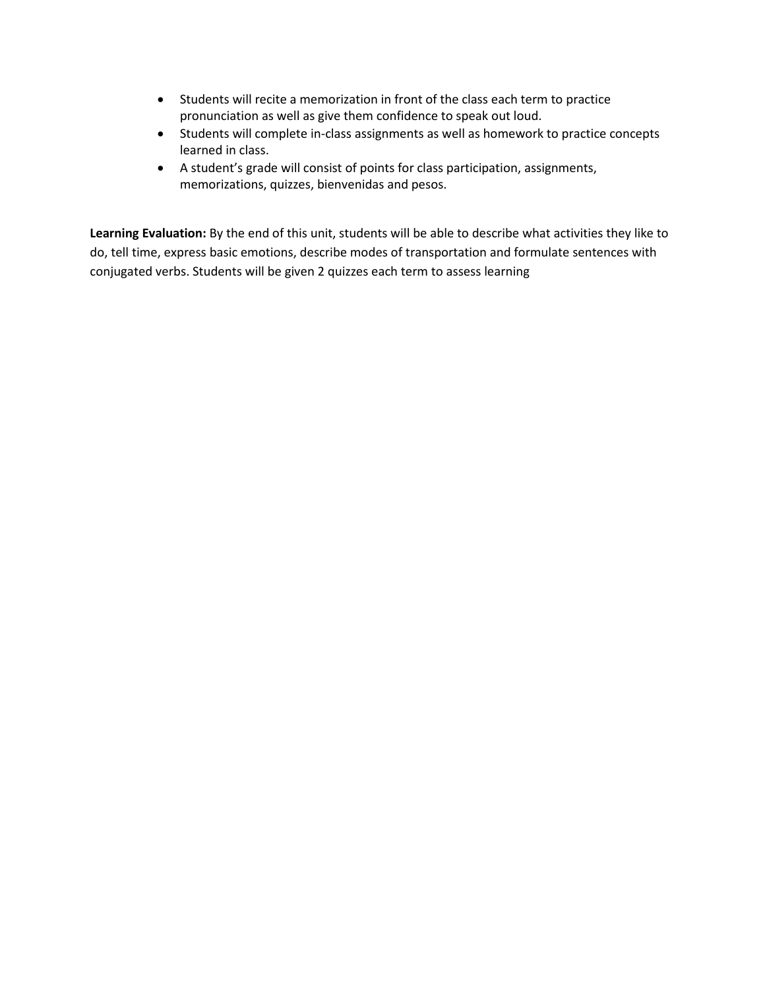- Students will recite a memorization in front of the class each term to practice pronunciation as well as give them confidence to speak out loud.
- Students will complete in-class assignments as well as homework to practice concepts learned in class.
- A student's grade will consist of points for class participation, assignments, memorizations, quizzes, bienvenidas and pesos.

**Learning Evaluation:** By the end of this unit, students will be able to describe what activities they like to do, tell time, express basic emotions, describe modes of transportation and formulate sentences with conjugated verbs. Students will be given 2 quizzes each term to assess learning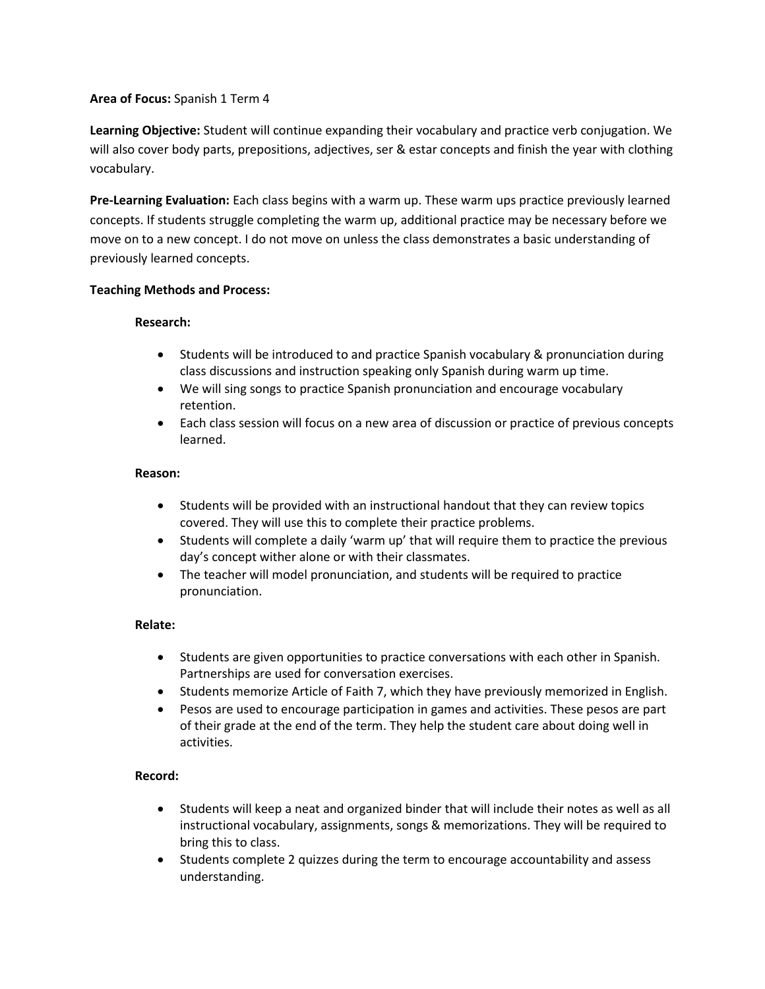**Learning Objective:** Student will continue expanding their vocabulary and practice verb conjugation. We will also cover body parts, prepositions, adjectives, ser & estar concepts and finish the year with clothing vocabulary.

**Pre-Learning Evaluation:** Each class begins with a warm up. These warm ups practice previously learned concepts. If students struggle completing the warm up, additional practice may be necessary before we move on to a new concept. I do not move on unless the class demonstrates a basic understanding of previously learned concepts.

### **Teaching Methods and Process:**

### **Research:**

- Students will be introduced to and practice Spanish vocabulary & pronunciation during class discussions and instruction speaking only Spanish during warm up time.
- We will sing songs to practice Spanish pronunciation and encourage vocabulary retention.
- Each class session will focus on a new area of discussion or practice of previous concepts learned.

### **Reason:**

- Students will be provided with an instructional handout that they can review topics covered. They will use this to complete their practice problems.
- Students will complete a daily 'warm up' that will require them to practice the previous day's concept wither alone or with their classmates.
- The teacher will model pronunciation, and students will be required to practice pronunciation.

## **Relate:**

- Students are given opportunities to practice conversations with each other in Spanish. Partnerships are used for conversation exercises.
- Students memorize Article of Faith 7, which they have previously memorized in English.
- Pesos are used to encourage participation in games and activities. These pesos are part of their grade at the end of the term. They help the student care about doing well in activities.

## **Record:**

- Students will keep a neat and organized binder that will include their notes as well as all instructional vocabulary, assignments, songs & memorizations. They will be required to bring this to class.
- Students complete 2 quizzes during the term to encourage accountability and assess understanding.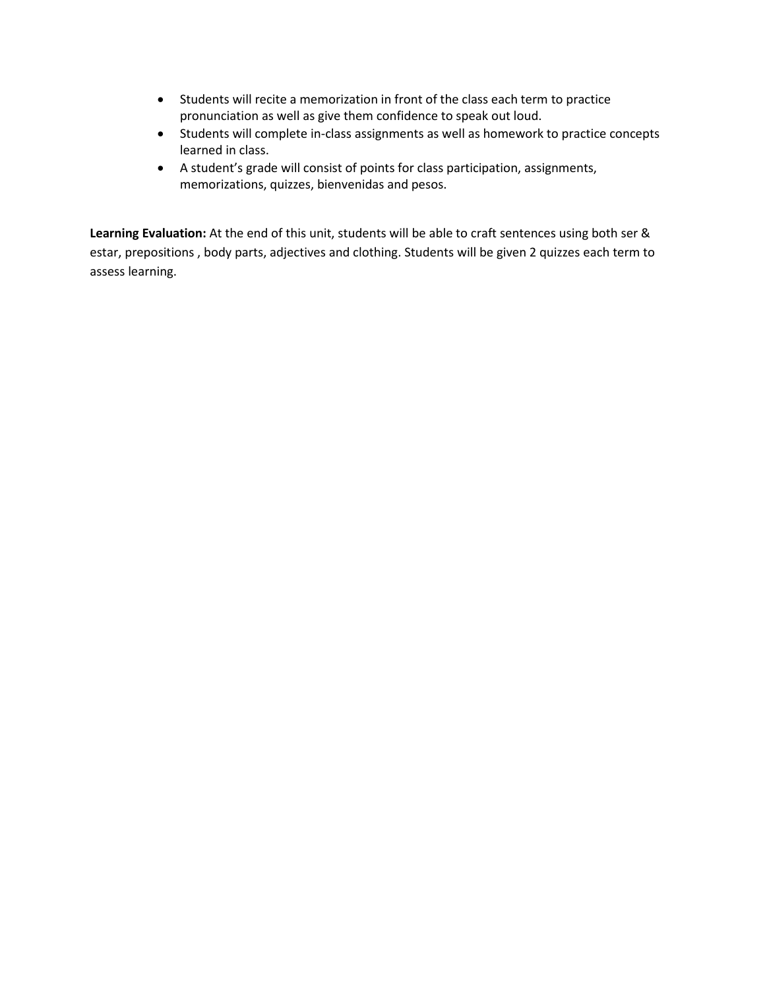- Students will recite a memorization in front of the class each term to practice pronunciation as well as give them confidence to speak out loud.
- Students will complete in-class assignments as well as homework to practice concepts learned in class.
- A student's grade will consist of points for class participation, assignments, memorizations, quizzes, bienvenidas and pesos.

**Learning Evaluation:** At the end of this unit, students will be able to craft sentences using both ser & estar, prepositions , body parts, adjectives and clothing. Students will be given 2 quizzes each term to assess learning.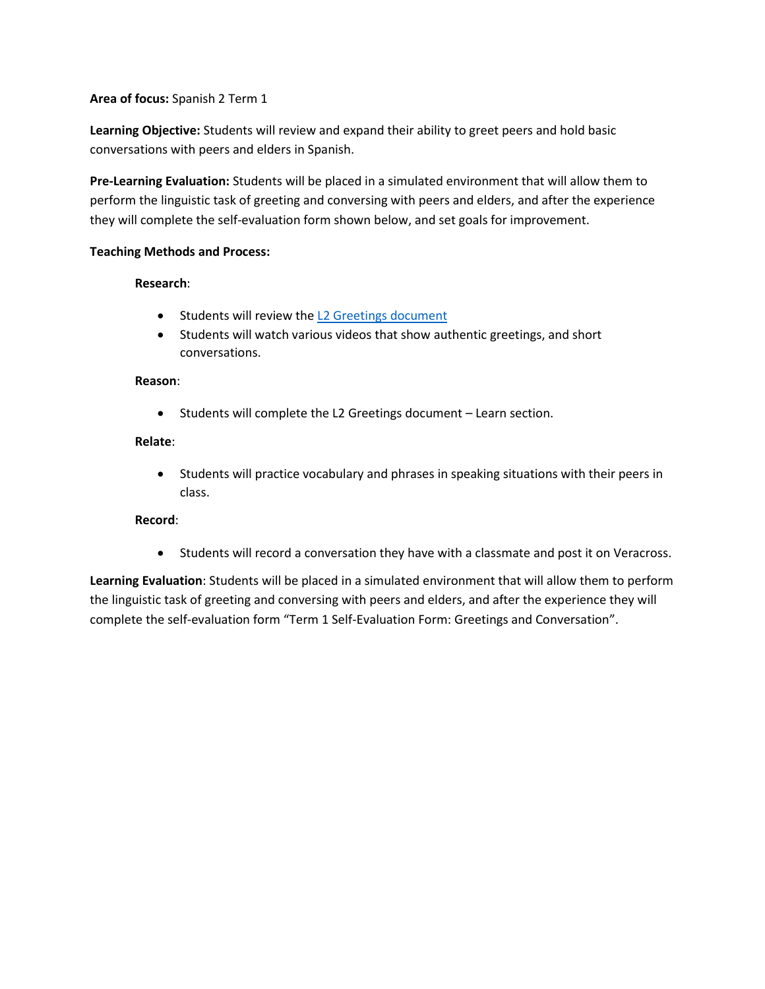**Learning Objective:** Students will review and expand their ability to greet peers and hold basic conversations with peers and elders in Spanish.

**Pre-Learning Evaluation:** Students will be placed in a simulated environment that will allow them to perform the linguistic task of greeting and conversing with peers and elders, and after the experience they will complete the self-evaluation form shown below, and set goals for improvement.

## **Teaching Methods and Process:**

# **Research**:

- Students will review the [L2 Greetings document](file://///K4/X%20drive/Spanish/Spanish%202/Spanish%202%20Homework/L2%20Greetings.doc)
- Students will watch various videos that show authentic greetings, and short conversations.

## **Reason**:

• Students will complete the L2 Greetings document – Learn section.

# **Relate**:

• Students will practice vocabulary and phrases in speaking situations with their peers in class.

# **Record**:

• Students will record a conversation they have with a classmate and post it on Veracross.

**Learning Evaluation**: Students will be placed in a simulated environment that will allow them to perform the linguistic task of greeting and conversing with peers and elders, and after the experience they will complete the self-evaluation form "Term 1 Self-Evaluation Form: Greetings and Conversation".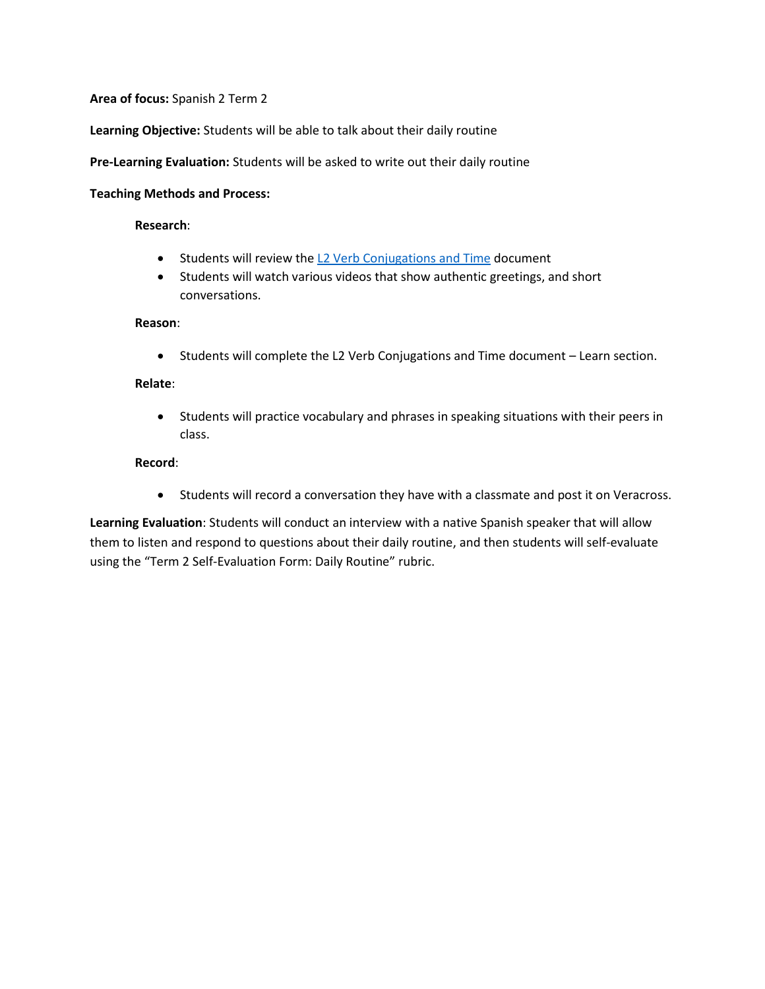**Learning Objective:** Students will be able to talk about their daily routine

**Pre-Learning Evaluation:** Students will be asked to write out their daily routine

#### **Teaching Methods and Process:**

### **Research**:

- Students will review the [L2 Verb Conjugations and Time](file://///K4/X%20drive/Spanish/Spanish%202/Spanish%202%20Homework/L2%20Verb%20Conjugations%20and%20Time.docx) document
- Students will watch various videos that show authentic greetings, and short conversations.

#### **Reason**:

• Students will complete the L2 Verb Conjugations and Time document – Learn section.

#### **Relate**:

• Students will practice vocabulary and phrases in speaking situations with their peers in class.

#### **Record**:

• Students will record a conversation they have with a classmate and post it on Veracross.

**Learning Evaluation**: Students will conduct an interview with a native Spanish speaker that will allow them to listen and respond to questions about their daily routine, and then students will self-evaluate using the "Term 2 Self-Evaluation Form: Daily Routine" rubric.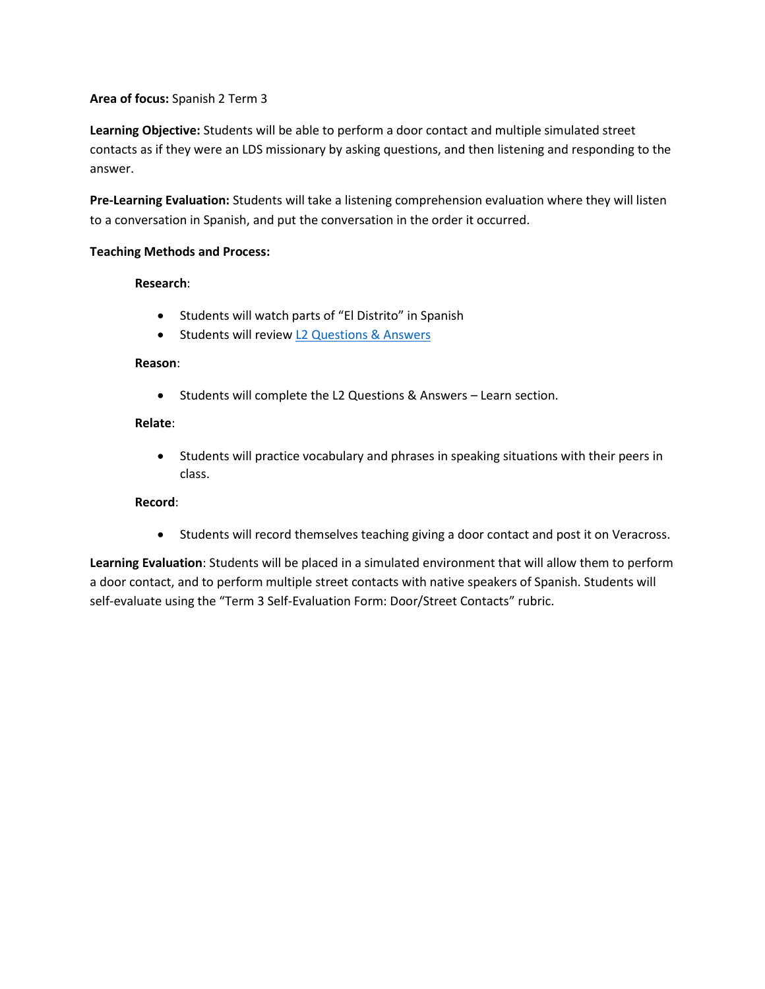**Learning Objective:** Students will be able to perform a door contact and multiple simulated street contacts as if they were an LDS missionary by asking questions, and then listening and responding to the answer.

**Pre-Learning Evaluation:** Students will take a listening comprehension evaluation where they will listen to a conversation in Spanish, and put the conversation in the order it occurred.

### **Teaching Methods and Process:**

### **Research**:

- Students will watch parts of "El Distrito" in Spanish
- Students will revie[w L2 Questions](file://///K4/X%20drive/Spanish/Spanish%202/Spanish%202%20Homework/L2%20Past%20Tense.docx) & Answers

### **Reason**:

• Students will complete the L2 Questions & Answers – Learn section.

## **Relate**:

• Students will practice vocabulary and phrases in speaking situations with their peers in class.

## **Record**:

• Students will record themselves teaching giving a door contact and post it on Veracross.

**Learning Evaluation**: Students will be placed in a simulated environment that will allow them to perform a door contact, and to perform multiple street contacts with native speakers of Spanish. Students will self-evaluate using the "Term 3 Self-Evaluation Form: Door/Street Contacts" rubric.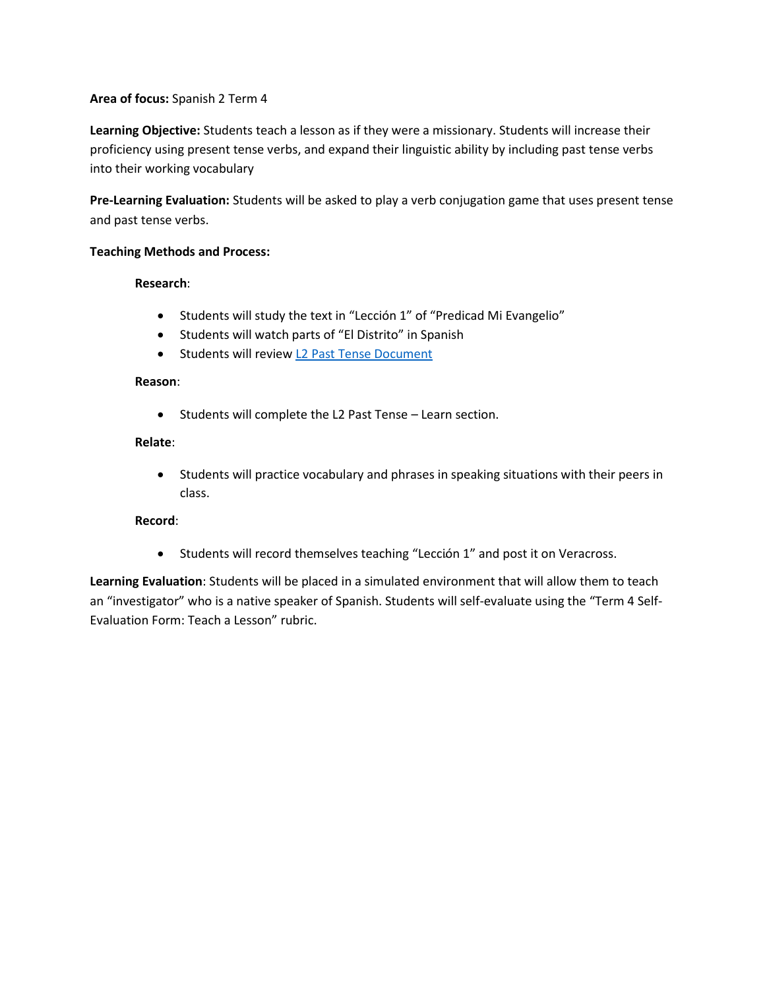**Learning Objective:** Students teach a lesson as if they were a missionary. Students will increase their proficiency using present tense verbs, and expand their linguistic ability by including past tense verbs into their working vocabulary

**Pre-Learning Evaluation:** Students will be asked to play a verb conjugation game that uses present tense and past tense verbs.

### **Teaching Methods and Process:**

### **Research**:

- Students will study the text in "Lección 1" of "Predicad Mi Evangelio"
- Students will watch parts of "El Distrito" in Spanish
- Students will revie[w L2 Past Tense Document](file://///K4/X%20drive/Spanish/Spanish%202/Spanish%202%20Homework/L2%20Past%20Tense.docx)

### **Reason**:

• Students will complete the L2 Past Tense – Learn section.

### **Relate**:

• Students will practice vocabulary and phrases in speaking situations with their peers in class.

## **Record**:

• Students will record themselves teaching "Lección 1" and post it on Veracross.

**Learning Evaluation**: Students will be placed in a simulated environment that will allow them to teach an "investigator" who is a native speaker of Spanish. Students will self-evaluate using the "Term 4 Self-Evaluation Form: Teach a Lesson" rubric.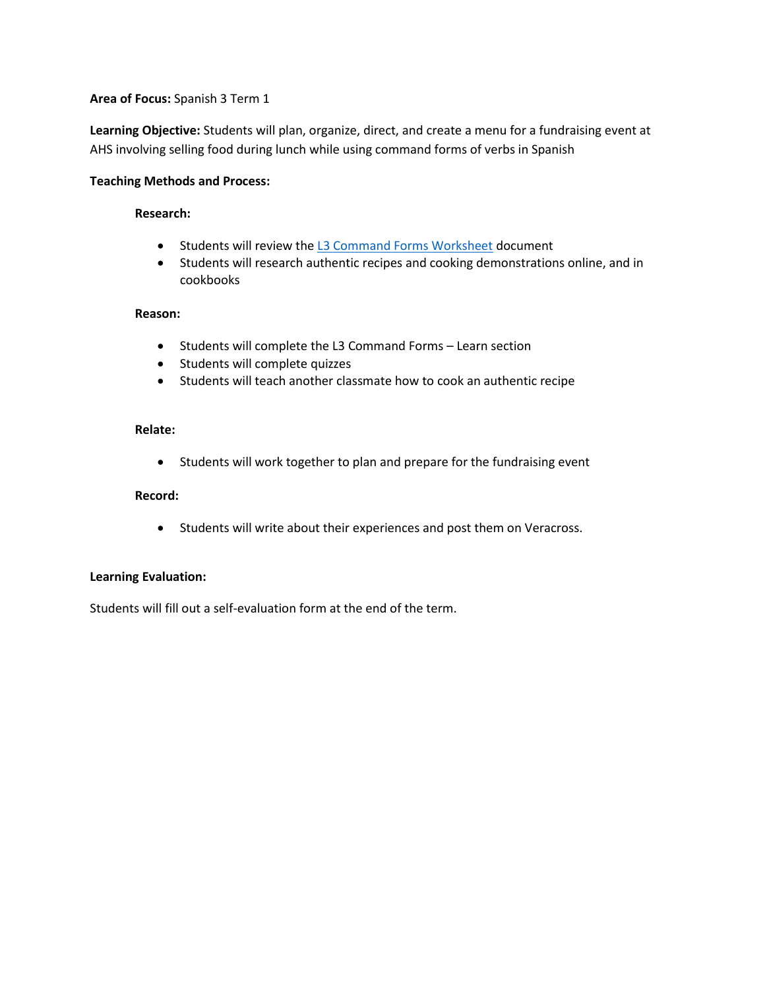**Learning Objective:** Students will plan, organize, direct, and create a menu for a fundraising event at AHS involving selling food during lunch while using command forms of verbs in Spanish

#### **Teaching Methods and Process:**

### **Research:**

- Students will review the [L3 Command Forms Worksheet](file://///k4/profiles/jbeck/Documents/Spanish/Spanish%203/L3%20Command%20Forms%20Worksheet.doc) document
- Students will research authentic recipes and cooking demonstrations online, and in cookbooks

### **Reason:**

- Students will complete the L3 Command Forms Learn section
- Students will complete quizzes
- Students will teach another classmate how to cook an authentic recipe

## **Relate:**

• Students will work together to plan and prepare for the fundraising event

## **Record:**

• Students will write about their experiences and post them on Veracross.

## **Learning Evaluation:**

Students will fill out a self-evaluation form at the end of the term.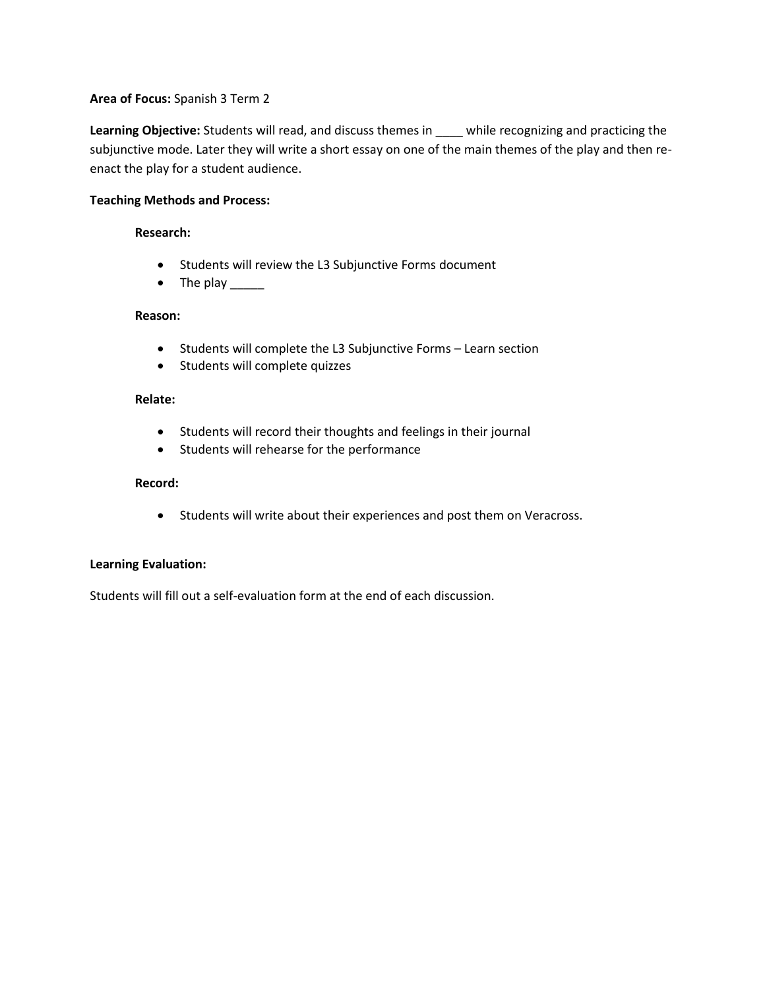**Learning Objective:** Students will read, and discuss themes in \_\_\_\_ while recognizing and practicing the subjunctive mode. Later they will write a short essay on one of the main themes of the play and then reenact the play for a student audience.

## **Teaching Methods and Process:**

#### **Research:**

- Students will review the L3 Subjunctive Forms document
- The play

### **Reason:**

- Students will complete the L3 Subjunctive Forms Learn section
- Students will complete quizzes

## **Relate:**

- Students will record their thoughts and feelings in their journal
- Students will rehearse for the performance

### **Record:**

• Students will write about their experiences and post them on Veracross.

## **Learning Evaluation:**

Students will fill out a self-evaluation form at the end of each discussion.